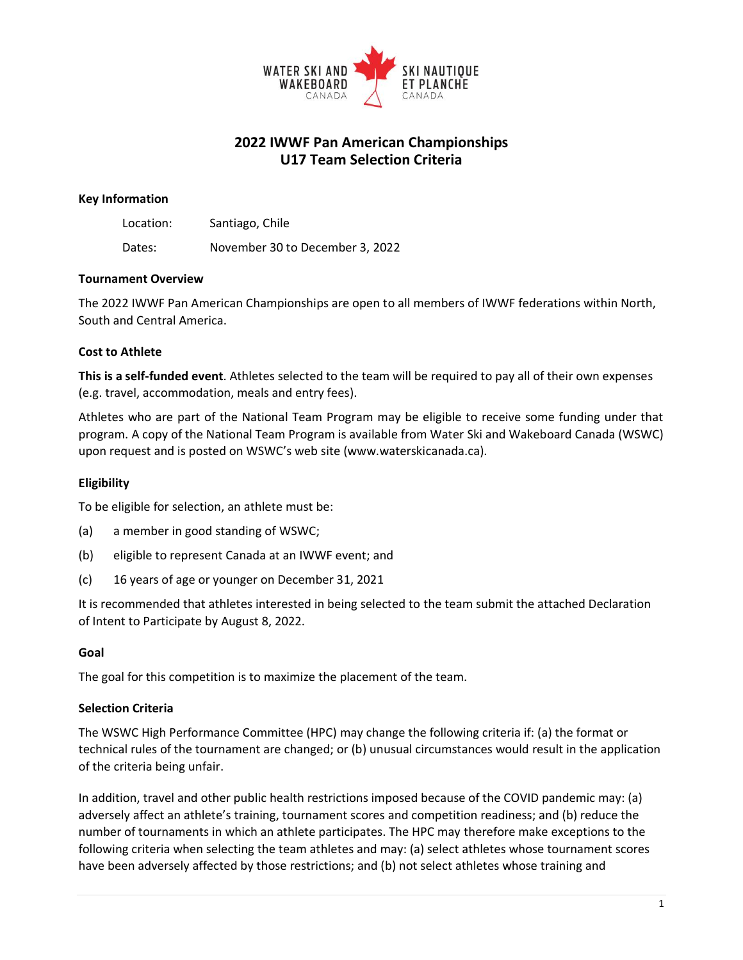

# **2022 IWWF Pan American Championships U17 Team Selection Criteria**

#### **Key Information**

Location: Santiago, Chile

Dates: November 30 to December 3, 2022

### **Tournament Overview**

The 2022 IWWF Pan American Championships are open to all members of IWWF federations within North, South and Central America.

## **Cost to Athlete**

**This is a self-funded event**. Athletes selected to the team will be required to pay all of their own expenses (e.g. travel, accommodation, meals and entry fees).

Athletes who are part of the National Team Program may be eligible to receive some funding under that program. A copy of the National Team Program is available from Water Ski and Wakeboard Canada (WSWC) upon request and is posted on WSWC's web site (www.waterskicanada.ca).

## **Eligibility**

To be eligible for selection, an athlete must be:

- (a) a member in good standing of WSWC;
- (b) eligible to represent Canada at an IWWF event; and
- (c) 16 years of age or younger on December 31, 2021

It is recommended that athletes interested in being selected to the team submit the attached Declaration of Intent to Participate by August 8, 2022.

#### **Goal**

The goal for this competition is to maximize the placement of the team.

## **Selection Criteria**

The WSWC High Performance Committee (HPC) may change the following criteria if: (a) the format or technical rules of the tournament are changed; or (b) unusual circumstances would result in the application of the criteria being unfair.

In addition, travel and other public health restrictions imposed because of the COVID pandemic may: (a) adversely affect an athlete's training, tournament scores and competition readiness; and (b) reduce the number of tournaments in which an athlete participates. The HPC may therefore make exceptions to the following criteria when selecting the team athletes and may: (a) select athletes whose tournament scores have been adversely affected by those restrictions; and (b) not select athletes whose training and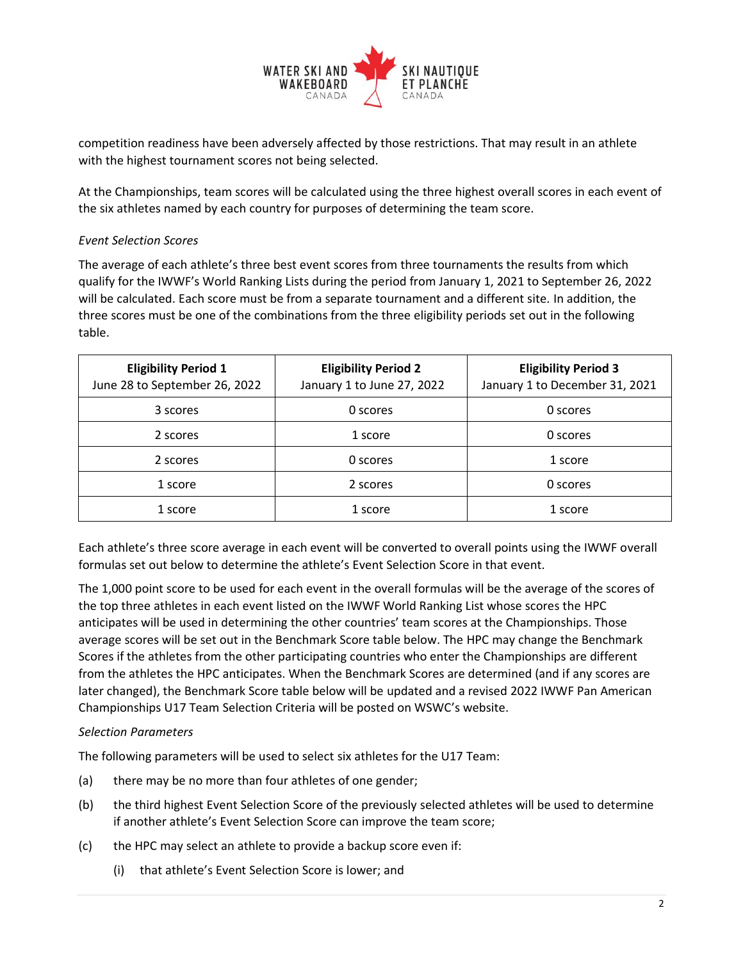

competition readiness have been adversely affected by those restrictions. That may result in an athlete with the highest tournament scores not being selected.

At the Championships, team scores will be calculated using the three highest overall scores in each event of the six athletes named by each country for purposes of determining the team score.

## *Event Selection Scores*

The average of each athlete's three best event scores from three tournaments the results from which qualify for the IWWF's World Ranking Lists during the period from January 1, 2021 to September 26, 2022 will be calculated. Each score must be from a separate tournament and a different site. In addition, the three scores must be one of the combinations from the three eligibility periods set out in the following table.

| <b>Eligibility Period 1</b><br>June 28 to September 26, 2022 | <b>Eligibility Period 2</b><br>January 1 to June 27, 2022 | <b>Eligibility Period 3</b><br>January 1 to December 31, 2021 |
|--------------------------------------------------------------|-----------------------------------------------------------|---------------------------------------------------------------|
| 3 scores                                                     | 0 scores                                                  | 0 scores                                                      |
| 2 scores                                                     | 1 score                                                   | 0 scores                                                      |
| 2 scores                                                     | 0 scores                                                  | 1 score                                                       |
| 1 score                                                      | 2 scores                                                  | 0 scores                                                      |
| 1 score                                                      | 1 score                                                   | 1 score                                                       |

Each athlete's three score average in each event will be converted to overall points using the IWWF overall formulas set out below to determine the athlete's Event Selection Score in that event.

The 1,000 point score to be used for each event in the overall formulas will be the average of the scores of the top three athletes in each event listed on the IWWF World Ranking List whose scores the HPC anticipates will be used in determining the other countries' team scores at the Championships. Those average scores will be set out in the Benchmark Score table below. The HPC may change the Benchmark Scores if the athletes from the other participating countries who enter the Championships are different from the athletes the HPC anticipates. When the Benchmark Scores are determined (and if any scores are later changed), the Benchmark Score table below will be updated and a revised 2022 IWWF Pan American Championships U17 Team Selection Criteria will be posted on WSWC's website.

#### *Selection Parameters*

The following parameters will be used to select six athletes for the U17 Team:

- (a) there may be no more than four athletes of one gender;
- (b) the third highest Event Selection Score of the previously selected athletes will be used to determine if another athlete's Event Selection Score can improve the team score;
- (c) the HPC may select an athlete to provide a backup score even if:
	- (i) that athlete's Event Selection Score is lower; and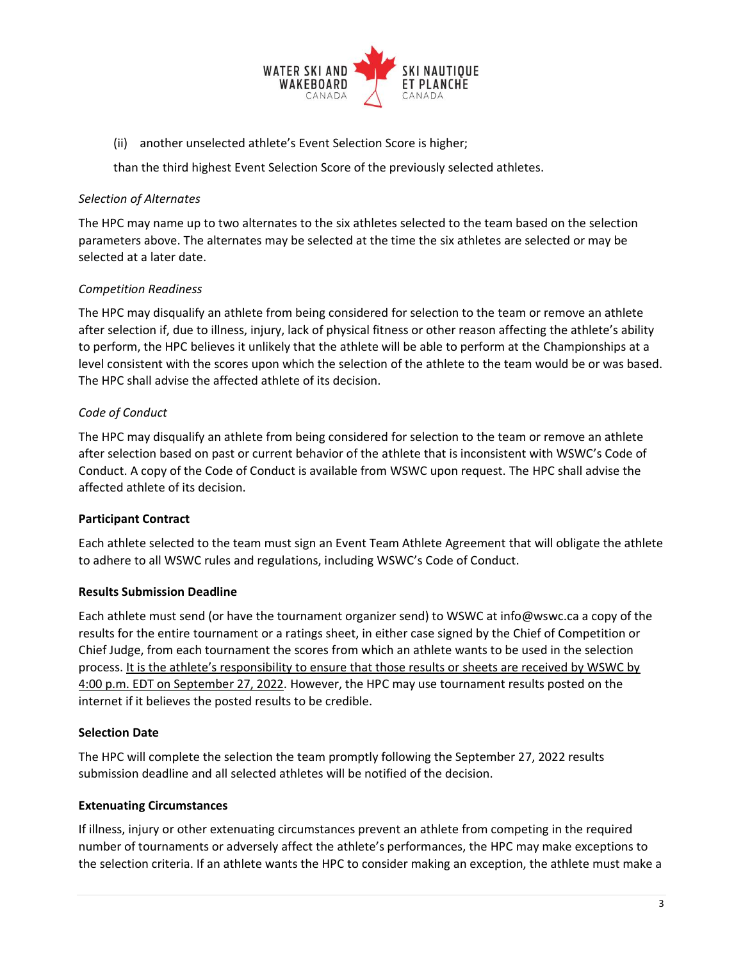

(ii) another unselected athlete's Event Selection Score is higher;

than the third highest Event Selection Score of the previously selected athletes.

#### *Selection of Alternates*

The HPC may name up to two alternates to the six athletes selected to the team based on the selection parameters above. The alternates may be selected at the time the six athletes are selected or may be selected at a later date.

## *Competition Readiness*

The HPC may disqualify an athlete from being considered for selection to the team or remove an athlete after selection if, due to illness, injury, lack of physical fitness or other reason affecting the athlete's ability to perform, the HPC believes it unlikely that the athlete will be able to perform at the Championships at a level consistent with the scores upon which the selection of the athlete to the team would be or was based. The HPC shall advise the affected athlete of its decision.

### *Code of Conduct*

The HPC may disqualify an athlete from being considered for selection to the team or remove an athlete after selection based on past or current behavior of the athlete that is inconsistent with WSWC's Code of Conduct. A copy of the Code of Conduct is available from WSWC upon request. The HPC shall advise the affected athlete of its decision.

## **Participant Contract**

Each athlete selected to the team must sign an Event Team Athlete Agreement that will obligate the athlete to adhere to all WSWC rules and regulations, including WSWC's Code of Conduct.

#### **Results Submission Deadline**

Each athlete must send (or have the tournament organizer send) to WSWC at info@wswc.ca a copy of the results for the entire tournament or a ratings sheet, in either case signed by the Chief of Competition or Chief Judge, from each tournament the scores from which an athlete wants to be used in the selection process. It is the athlete's responsibility to ensure that those results or sheets are received by WSWC by 4:00 p.m. EDT on September 27, 2022. However, the HPC may use tournament results posted on the internet if it believes the posted results to be credible.

## **Selection Date**

The HPC will complete the selection the team promptly following the September 27, 2022 results submission deadline and all selected athletes will be notified of the decision.

#### **Extenuating Circumstances**

If illness, injury or other extenuating circumstances prevent an athlete from competing in the required number of tournaments or adversely affect the athlete's performances, the HPC may make exceptions to the selection criteria. If an athlete wants the HPC to consider making an exception, the athlete must make a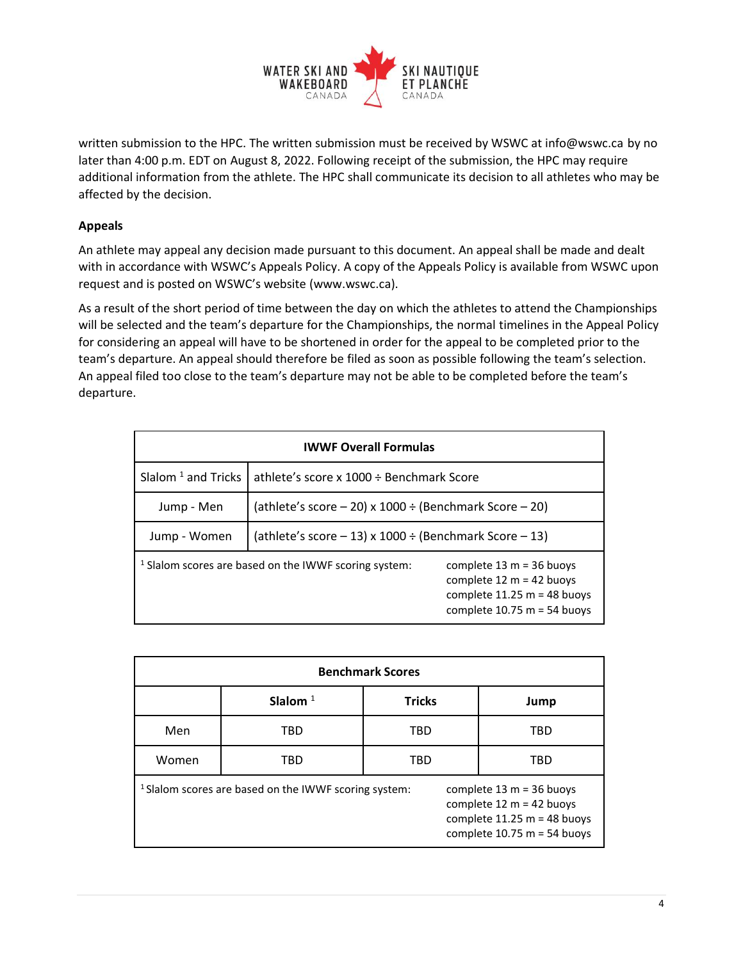

written submission to the HPC. The written submission must be received by WSWC at info@wswc.ca by no later than 4:00 p.m. EDT on August 8, 2022. Following receipt of the submission, the HPC may require additional information from the athlete. The HPC shall communicate its decision to all athletes who may be affected by the decision.

# **Appeals**

An athlete may appeal any decision made pursuant to this document. An appeal shall be made and dealt with in accordance with WSWC's Appeals Policy. A copy of the Appeals Policy is available from WSWC upon request and is posted on WSWC's website (www.wswc.ca).

As a result of the short period of time between the day on which the athletes to attend the Championships will be selected and the team's departure for the Championships, the normal timelines in the Appeal Policy for considering an appeal will have to be shortened in order for the appeal to be completed prior to the team's departure. An appeal should therefore be filed as soon as possible following the team's selection. An appeal filed too close to the team's departure may not be able to be completed before the team's departure.

| <b>IWWF Overall Formulas</b>   |                                                                  |                                                                                                                            |  |  |
|--------------------------------|------------------------------------------------------------------|----------------------------------------------------------------------------------------------------------------------------|--|--|
| Slalom <sup>1</sup> and Tricks | athlete's score x $1000 \div$ Benchmark Score                    |                                                                                                                            |  |  |
| Jump - Men                     | (athlete's score $-20$ ) x 1000 ÷ (Benchmark Score $-20$ )       |                                                                                                                            |  |  |
| Jump - Women                   | (athlete's score $-13$ ) x 1000 ÷ (Benchmark Score $-13$ )       |                                                                                                                            |  |  |
|                                | <sup>1</sup> Slalom scores are based on the IWWF scoring system: | complete $13 m = 36$ buoys<br>complete $12 m = 42$ buoys<br>complete $11.25 m = 48$ buoys<br>complete $10.75$ m = 54 buoys |  |  |

| <b>Benchmark Scores</b>                                          |            |               |                                                                                                                            |  |  |
|------------------------------------------------------------------|------------|---------------|----------------------------------------------------------------------------------------------------------------------------|--|--|
|                                                                  | Slalom $1$ | <b>Tricks</b> | Jump                                                                                                                       |  |  |
| Men                                                              | TBD        | TBD           | <b>TBD</b>                                                                                                                 |  |  |
| Women                                                            | TBD        | TBD           | <b>TBD</b>                                                                                                                 |  |  |
| <sup>1</sup> Slalom scores are based on the IWWF scoring system: |            |               | complete $13 m = 36$ buoys<br>complete $12 m = 42$ buoys<br>complete $11.25 m = 48$ buoys<br>complete $10.75$ m = 54 buoys |  |  |